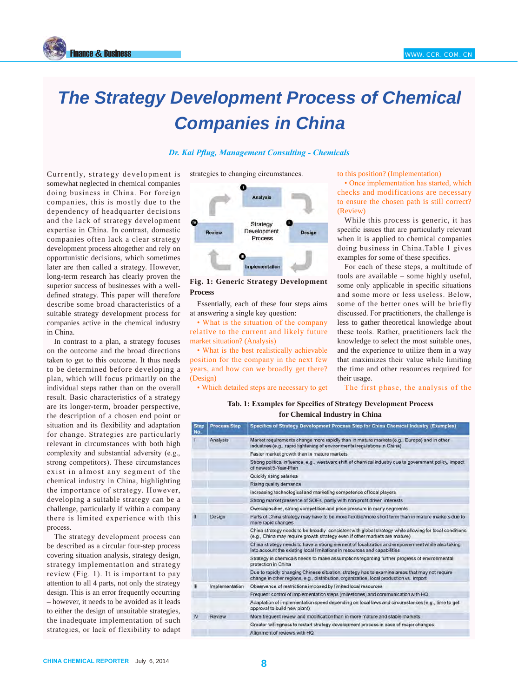

## *The Strategy Development Process of Chemical Companies in China*

**Dr. Kai Pflug, Management Consulting - Chemicals** 

strategies to changing circumstances.



**Fig. 1: Generic Strategy Development Process**

Essentially, each of these four steps aims at answering a single key question:

• What is the situation of the company relative to the current and likely future market situation? (Analysis)

• What is the best realistically achievable position for the company in the next few years, and how can we broadly get there? (Design)

• Which detailed steps are necessary to get

to this position? (Implementation)

• Once implementation has started, which checks and modifications are necessary to ensure the chosen path is still correct? (Review)

While this process is generic, it has specific issues that are particularly relevant when it is applied to chemical companies doing business in China. Table 1 gives examples for some of these specifics.

For each of these steps, a multitude of tools are available – some highly useful, some only applicable in specific situations and some more or less useless. Below, some of the better ones will be briefly discussed. For practitioners, the challenge is less to gather theoretical knowledge about these tools. Rather, practitioners lack the knowledge to select the most suitable ones, and the experience to utilize them in a way that maximizes their value while limiting the time and other resources required for their usage.

The first phase, the analysis of the

## Tab. 1: Examples for Specifics of Strategy Development Process **for Chemical Industry in China**

| <b>Step</b><br>No. | <b>Process Step</b> | Specifics of Strategy Development Process Step for China Chemical Industry (Examples)                                                                                                   |
|--------------------|---------------------|-----------------------------------------------------------------------------------------------------------------------------------------------------------------------------------------|
|                    | Analysis            | Market requirements change more rapidly than in mature markets (e.g., Europe) and in other<br>industries (e.g., rapid tightening of environmental regulations in China)                 |
|                    |                     | Faster market growth than in mature markets                                                                                                                                             |
|                    |                     | Strong political influence, e.g., westward shift of chemical industry due to government policy, impact<br>of newest 5-Year-Plan                                                         |
|                    |                     | Quickly rising salaries                                                                                                                                                                 |
|                    |                     | Rising quality demands                                                                                                                                                                  |
|                    |                     | Increasing technological and marketing competence of local players                                                                                                                      |
|                    |                     | Strong market presence of SOEs, partly with non-profit driven interests                                                                                                                 |
|                    |                     | Overcapacities, strong competition and price pressure in many segments                                                                                                                  |
| Đ                  | Design              | Parts of China strategy may have to be more flexible/more short term than in mature markets due to<br>more rapid changes                                                                |
|                    |                     | China strategy needs to be broadly consistent with global strategy while allowing for local conditions<br>(e.g., China may require growth strategy even if other markets are mature)    |
|                    |                     | China strategy needs to have a strong element of localization and empowerment while also taking<br>into account the existing local limitations in resources and capabilities            |
|                    |                     | Strategy in chemicals needs to make assumptions regarding further progress of environmental<br>protection in China                                                                      |
|                    |                     | Due to rapidly changing Chinese situation, strategy has to examine areas that may not require<br>change in other regions, e.g., distribution, organization, local production vs. import |
| Ш                  | Implementation      | Observance of restrictions imposed by limited local resources                                                                                                                           |
|                    |                     | Frequent control of implementation steps (milestones) and communication with HQ                                                                                                         |
|                    |                     | Adaptation of implementation speed depending on local laws and circumstances (e.g., time to get<br>approval to build new plant)                                                         |
| IV                 | Review              | More frequent review and modification than in more mature and stable markets.                                                                                                           |
|                    |                     | Greater willingness to restart strategy development process in case of major changes                                                                                                    |
|                    |                     | Alignment of reviews with HQ                                                                                                                                                            |

Currently, strategy development is somewhat neglected in chemical companies doing business in China. For foreign companies, this is mostly due to the dependency of headquarter decisions and the lack of strategy development expertise in China. In contrast, domestic companies often lack a clear strategy development process altogether and rely on opportunistic decisions, which sometimes later are then called a strategy. However, long-term research has clearly proven the superior success of businesses with a welldefined strategy. This paper will therefore describe some broad characteristics of a suitable strategy development process for companies active in the chemical industry in China.

In contrast to a plan, a strategy focuses on the outcome and the broad directions taken to get to this outcome. It thus needs to be determined before developing a plan, which will focus primarily on the individual steps rather than on the overall result. Basic characteristics of a strategy are its longer-term, broader perspective, the description of a chosen end point or situation and its flexibility and adaptation for change. Strategies are particularly relevant in circumstances with both high complexity and substantial adversity (e.g., strong competitors). These circumstances exist in almost any segment of the chemical industry in China, highlighting the importance of strategy. However, developing a suitable strategy can be a challenge, particularly if within a company there is limited experience with this process.

The strategy development process can be described as a circular four-step process covering situation analysis, strategy design, strategy implementation and strategy review (Fig. 1). It is important to pay attention to all 4 parts, not only the strategy design. This is an error frequently occurring – however, it needs to be avoided as it leads to either the design of unsuitable strategies, the inadequate implementation of such strategies, or lack of flexibility to adapt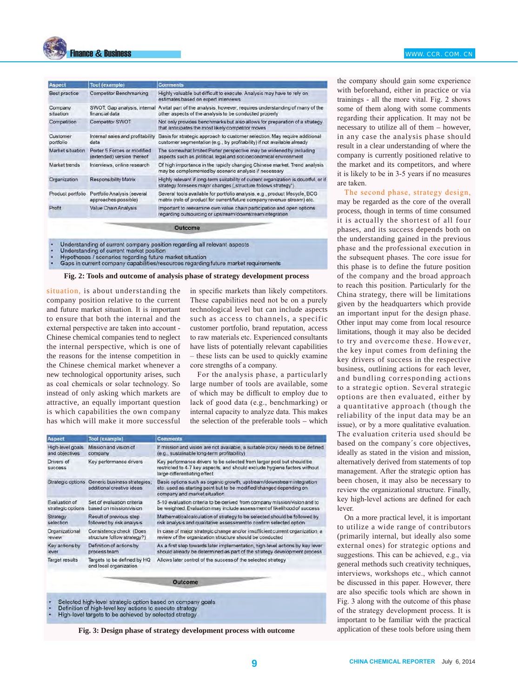

| <b>Aspect</b>         | <b>Tool (example)</b>                                     | <b>Comments</b>                                                                                                                                                     |
|-----------------------|-----------------------------------------------------------|---------------------------------------------------------------------------------------------------------------------------------------------------------------------|
| Best practice         | <b>Competitor Benchmarking</b>                            | Highly valuable but difficult to execute. Analysis may have to rely on<br>estimates based on expert interviews                                                      |
| Company<br>situation  | financial data                                            | SWOT, Gap analysis, internal A vital part of the analysis, however, requires understanding of many of the<br>other aspects of the analysis to be conducted properly |
| Competition           | <b>Competitor SWOT</b>                                    | Not only provides benchmarks but also allows for preparation of a strategy<br>that anticipates the most likely competitor moves                                     |
| Customer<br>portfolio | Internal sales and profitability<br>data                  | Basis for strategic approach to customer selection. May require additional<br>customer segmentation (e.g., by profitability) if not available already               |
| Market situation      | Porter 5 Forces or modified<br>(extended) version thereof | The somewhat limited Porter perspective may be widened by including<br>aspects such as political, legal and socioeconomical environment                             |
| Market trends         | Interviews, online research                               | Of high importance in the rapidly changing Chinese market. Trend analysis<br>may be complemented by scenario analysis if necessary                                  |
| Organization          | <b>Responsibility Matrix</b>                              | Highly relevant if long-term suitability of current organization is doubtful, or if<br>strategy foresees major changes ("structure follows strategy")               |
| Product portfolio     | Portfolio Analysis (several<br>approaches possible)       | Several tools available for portfolio analysis, e.g., product lifecycle, BCG<br>matrix (role of product for current/future company revenue stream) etc.             |
| Profit                | Value Chain Analysis                                      | Important to reexamine own value chain participation and open options<br>regarding outsourcing or upstream/downstream integration                                   |

Understanding of current company position regarding all relevant aspects

- Understanding of current market position
- 
- Hypotheses / scenarios regarding future market situation<br>Gaps in current company capabilities/resources regarding future market requirements

**Fig. 2: Tools and outcome of analysis phase of strategy development process**

situation, is about understanding the company position relative to the current and future market situation. It is important to ensure that both the internal and the external perspective are taken into account -Chinese chemical companies tend to neglect the internal perspective, which is one of the reasons for the intense competition in the Chinese chemical market whenever a new technological opportunity arises, such as coal chemicals or solar technology. So instead of only asking which markets are attractive, an equally important question is which capabilities the own company has which will make it more successful in specific markets than likely competitors. These capabilities need not be on a purely technological level but can include aspects such as access to channels, a specific customer portfolio, brand reputation, access to raw materials etc. Experienced consultants have lists of potentially relevant capabilities  $-$  these lists can be used to quickly examine core strengths of a company.

For the analysis phase, a particularly large number of tools are available, some of which may be difficult to employ due to lack of good data (e.g., benchmarking) or internal capacity to analyze data. This makes the selection of the preferable tools – which

| мэрест                       | <b>TOOL</b> (GXdmpie)                                     | Comments                                                                                                                                                                           |
|------------------------------|-----------------------------------------------------------|------------------------------------------------------------------------------------------------------------------------------------------------------------------------------------|
| High-level goals             | Mission and vision of                                     | If mission and vision are not available, a suitable proxy needs to be defined                                                                                                      |
| and objectives               | company                                                   | (e.g., sustainable long-term profitability)                                                                                                                                        |
| Drivers of<br><b>SUCCESS</b> | Key performance drivers                                   | Key performance drivers to be selected from larger pool but should be<br>restricted to 4-7 key aspects, and should exclude hygiene factors without<br>large differentiating effect |
| Strategic options            | Generic business strategies;<br>additional creative ideas | Basic options such as organic growth, upstream/downstream integration<br>etc. used as starting point but to be modified/changed depending on<br>company and market situation       |
| Evaluation of                | Set of evaluation criteria                                | 5-10 evaluation criteria to be derived from company mission/vision and to                                                                                                          |
| strategic options            | based on mission/vision                                   | be weighted. Evaluation may include assessment of likelihood of success                                                                                                            |
| Strategy                     | Result of previous step                                   | Mathematical calculation of strategy to be selected should be followed by                                                                                                          |
| selection                    | followed by risk analysis                                 | risk analysis and qualitative assessment to confirm selected option                                                                                                                |
| Organizational               | Consistency check (Does                                   | In case of major strategic change and/or insufficient current organization, a                                                                                                      |
| review                       | structure follow strategy?)                               | review of the organization structure should be conducted                                                                                                                           |
| Key actions by               | Definition of actions by                                  | As a first step towards later implementation, high-level actions by key lever                                                                                                      |
| lever                        | process team                                              | should already be determined as part of the strategy development process                                                                                                           |
| <b>Target results</b>        | Targets to be defined by HQ<br>and local organization     | Allows later control of the success of the selected strategy                                                                                                                       |

Selected high-level strategic option based on company goals

- Definition of high-level key actions to execute strategy<br>High-level targets to be achieved by selected strategy
- 

**Fig. 3: Design phase of strategy development process with outcome**

the company should gain some experience with beforehand, either in practice or via trainings - all the more vital. Fig. 2 shows some of them along with some comments regarding their application. It may not be necessary to utilize all of them – however, in any case the analysis phase should result in a clear understanding of where the company is currently positioned relative to the market and its competitors, and where it is likely to be in 3-5 years if no measures are taken.

> The second phase, strategy design, may be regarded as the core of the overall process, though in terms of time consumed it is actually the shortest of all four phases, and its success depends both on the understanding gained in the previous phase and the professional execution in the subsequent phases. The core issue for this phase is to define the future position of the company and the broad approach to reach this position. Particularly for the China strategy, there will be limitations given by the headquarters which provide an important input for the design phase. Other input may come from local resource limitations, though it may also be decided to try and overcome these. However, the key input comes from defining the key drivers of success in the respective business, outlining actions for each lever, and bundling corresponding actions to a strategic option. Several strategic options are then evaluated, either by a quantitative approach (though the reliability of the input data may be an issue), or by a more qualitative evaluation. The evaluation criteria used should be based on the company´s core objectives, ideally as stated in the vision and mission, alternatively derived from statements of top management. After the strategic option has been chosen, it may also be necessary to review the organizational structure. Finally, key high-level actions are defined for each lever.

> On a more practical level, it is important to utilize a wide range of contributors (primarily internal, but ideally also some external ones) for strategic options and suggestions. This can be achieved, e.g., via general methods such creativity techniques, interviews, workshops etc., which cannot be discussed in this paper. However, there are also specific tools which are shown in Fig. 3 along with the outcome of this phase of the strategy development process. It is important to be familiar with the practical application of these tools before using them